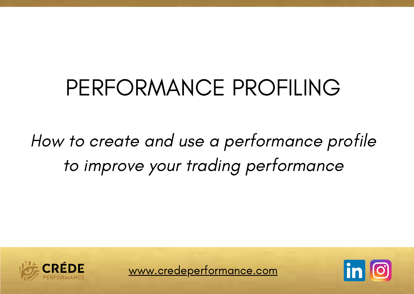## PERFORMANCE PROFILING

## How to create and use a performance profile to improve your trading performance



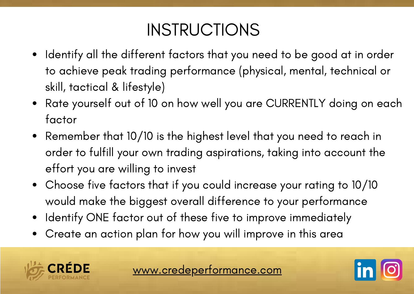## INSTRUCTIONS

- Identify all the different factors that you need to be good at in order to achieve peak trading performance (physical, mental, technical or skill, tactical & lifestyle)
- Rate yourself out of 10 on how well you are CURRENTLY doing on each factor
- Remember that 10/10 is the highest level that you need to reach in order to fulfill your own trading aspirations, taking into account the effort you are willing to invest
- Choose five factors that if you could increase your rating to 10/10 would make the biggest overall difference to your performance
- Identify ONE factor out of these five to improve immediately
- Create an action plan for how you will improve in this area



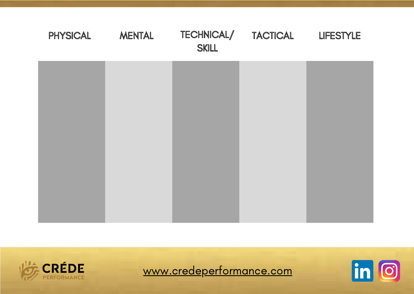